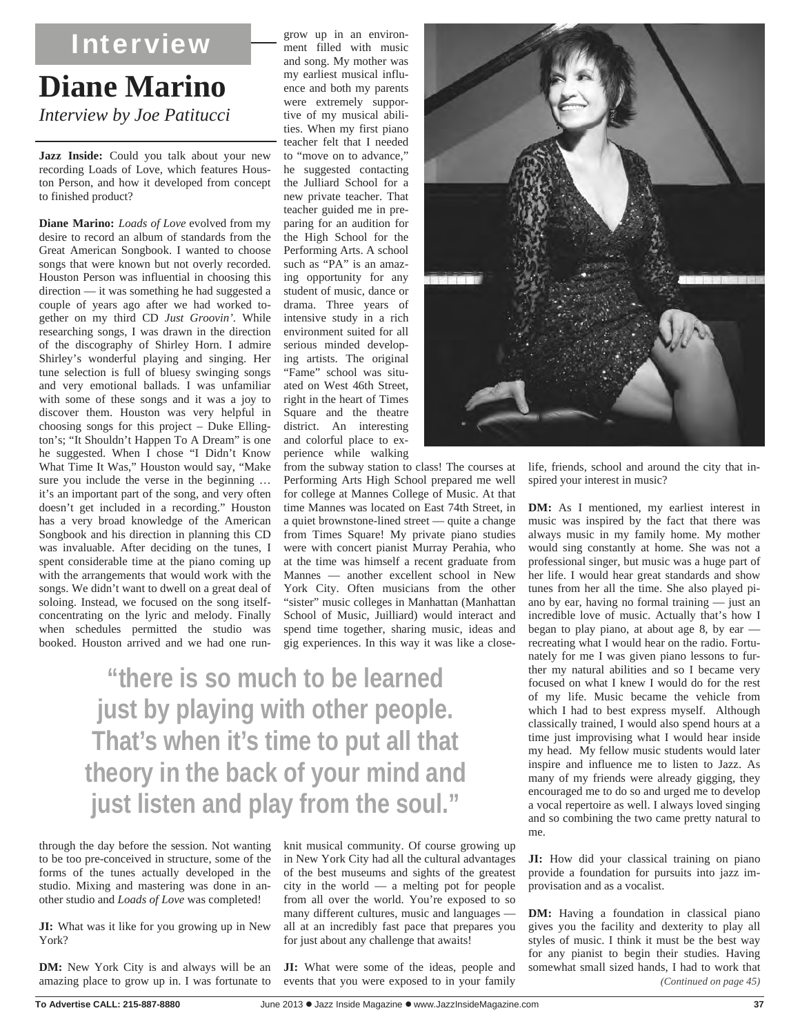## **Diane Marino**  *Interview by Joe Patitucci*  Interview

Jazz Inside: Could you talk about your new recording Loads of Love, which features Houston Person, and how it developed from concept to finished product?

**Diane Marino:** *Loads of Love* evolved from my desire to record an album of standards from the Great American Songbook. I wanted to choose songs that were known but not overly recorded. Houston Person was influential in choosing this direction — it was something he had suggested a couple of years ago after we had worked together on my third CD *Just Groovin'*. While researching songs, I was drawn in the direction of the discography of Shirley Horn. I admire Shirley's wonderful playing and singing. Her tune selection is full of bluesy swinging songs and very emotional ballads. I was unfamiliar with some of these songs and it was a joy to discover them. Houston was very helpful in choosing songs for this project – Duke Ellington's; "It Shouldn't Happen To A Dream" is one he suggested. When I chose "I Didn't Know What Time It Was," Houston would say, "Make sure you include the verse in the beginning … it's an important part of the song, and very often doesn't get included in a recording." Houston has a very broad knowledge of the American Songbook and his direction in planning this CD was invaluable. After deciding on the tunes, I spent considerable time at the piano coming up with the arrangements that would work with the songs. We didn't want to dwell on a great deal of soloing. Instead, we focused on the song itselfconcentrating on the lyric and melody. Finally when schedules permitted the studio was booked. Houston arrived and we had one rungrow up in an environment filled with music and song. My mother was my earliest musical influence and both my parents were extremely supportive of my musical abilities. When my first piano teacher felt that I needed to "move on to advance," he suggested contacting the Julliard School for a new private teacher. That teacher guided me in preparing for an audition for the High School for the Performing Arts. A school such as "PA" is an amazing opportunity for any student of music, dance or drama. Three years of intensive study in a rich environment suited for all serious minded developing artists. The original "Fame" school was situated on West 46th Street, right in the heart of Times Square and the theatre district. An interesting and colorful place to experience while walking

from the subway station to class! The courses at Performing Arts High School prepared me well for college at Mannes College of Music. At that time Mannes was located on East 74th Street, in a quiet brownstone-lined street — quite a change from Times Square! My private piano studies were with concert pianist Murray Perahia, who at the time was himself a recent graduate from Mannes — another excellent school in New York City. Often musicians from the other "sister" music colleges in Manhattan (Manhattan School of Music, Juilliard) would interact and spend time together, sharing music, ideas and gig experiences. In this way it was like a close-

**"there is so much to be learned just by playing with other people. That's when it's time to put all that theory in the back of your mind and just listen and play from the soul."** 

through the day before the session. Not wanting to be too pre-conceived in structure, some of the forms of the tunes actually developed in the studio. Mixing and mastering was done in another studio and *Loads of Love* was completed!

**JI:** What was it like for you growing up in New York?

**DM:** New York City is and always will be an amazing place to grow up in. I was fortunate to

knit musical community. Of course growing up in New York City had all the cultural advantages of the best museums and sights of the greatest city in the world — a melting pot for people from all over the world. You're exposed to so many different cultures, music and languages all at an incredibly fast pace that prepares you for just about any challenge that awaits!

**JI:** What were some of the ideas, people and events that you were exposed to in your family



life, friends, school and around the city that inspired your interest in music?

**DM:** As I mentioned, my earliest interest in music was inspired by the fact that there was always music in my family home. My mother would sing constantly at home. She was not a professional singer, but music was a huge part of her life. I would hear great standards and show tunes from her all the time. She also played piano by ear, having no formal training — just an incredible love of music. Actually that's how I began to play piano, at about age 8, by ear recreating what I would hear on the radio. Fortunately for me I was given piano lessons to further my natural abilities and so I became very focused on what I knew I would do for the rest of my life. Music became the vehicle from which I had to best express myself. Although classically trained, I would also spend hours at a time just improvising what I would hear inside my head. My fellow music students would later inspire and influence me to listen to Jazz. As many of my friends were already gigging, they encouraged me to do so and urged me to develop a vocal repertoire as well. I always loved singing and so combining the two came pretty natural to me.

**JI:** How did your classical training on piano provide a foundation for pursuits into jazz improvisation and as a vocalist.

**DM:** Having a foundation in classical piano gives you the facility and dexterity to play all styles of music. I think it must be the best way for any pianist to begin their studies. Having somewhat small sized hands, I had to work that *(Continued on page 45)*